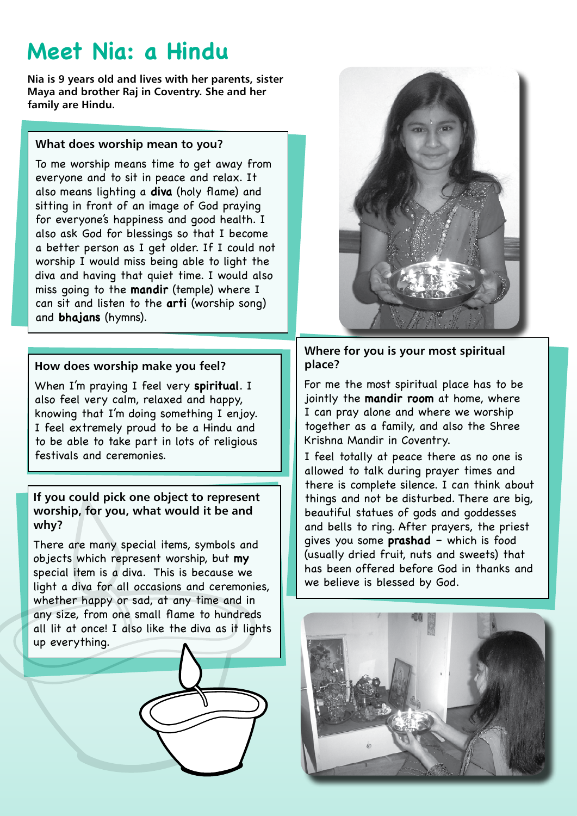## **Meet Nia: a Hindu**

**Nia is 9 years old and lives with her parents, sister Maya and brother Raj in Coventry. She and her family are Hindu.**

#### **What does worship mean to you?**

To me worship means time to get away from everyone and to sit in peace and relax. It also means lighting a **diva** (holy flame) and sitting in front of an image of God praying for everyone's happiness and good health. I also ask God for blessings so that I become a better person as I get older. If I could not worship I would miss being able to light the diva and having that quiet time. I would also miss going to the **mandir** (temple) where I can sit and listen to the **arti** (worship song) and **bhajans** (hymns).

## **How does worship make you feel?**

When I'm praying I feel very **spiritual**. I also feel very calm, relaxed and happy, knowing that I'm doing something I enjoy. I feel extremely proud to be a Hindu and to be able to take part in lots of religious festivals and ceremonies.

## **If you could pick one object to represent worship, for you, what would it be and why?**

There are many special items, symbols and objects which represent worship, but **my**  special item is a diva. This is because we light a diva for all occasions and ceremonies, whether happy or sad, at any time and in any size, from one small flame to hundreds all lit at once! I also like the diva as it lights up everything.





#### **Where for you is your most spiritual place?**

For me the most spiritual place has to be jointly the **mandir room** at home, where I can pray alone and where we worship together as a family, and also the Shree Krishna Mandir in Coventry.

I feel totally at peace there as no one is allowed to talk during prayer times and there is complete silence. I can think about things and not be disturbed. There are big, beautiful statues of gods and goddesses and bells to ring. After prayers, the priest gives you some **prashad** – which is food (usually dried fruit, nuts and sweets) that has been offered before God in thanks and we believe is blessed by God.